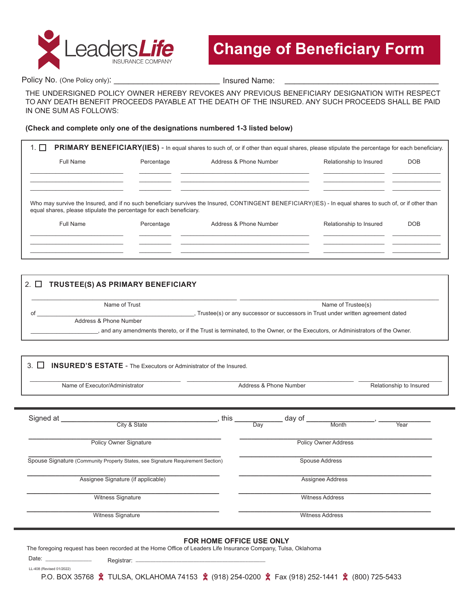

Policy No. (One Policy only): example and the line of the line of Name:

THE UNDERSIGNED POLICY OWNER HEREBY REVOKES ANY PREVIOUS BENEFICIARY DESIGNATION WITH RESPECT TO ANY DEATH BENEFIT PROCEEDS PAYABLE AT THE DEATH OF THE INSURED. ANY SUCH PROCEEDS SHALL BE PAID IN ONE SUM AS FOLLOWS:

#### **(Check and complete only one of the designations numbered 1-3 listed below)**

| Full Name | Address & Phone Number<br>Percentage                                |                                                                                                                                                          | Relationship to Insured | <b>DOB</b> |  |
|-----------|---------------------------------------------------------------------|----------------------------------------------------------------------------------------------------------------------------------------------------------|-------------------------|------------|--|
|           |                                                                     |                                                                                                                                                          |                         |            |  |
|           | equal shares, please stipulate the percentage for each beneficiary. | Who may survive the Insured, and if no such beneficiary survives the Insured, CONTINGENT BENEFICIARY(IES) - In equal shares to such of, or if other than |                         |            |  |

| 2. □ | TRUSTEE(S) AS PRIMARY BENEFICIARY |                                                                                                                            |
|------|-----------------------------------|----------------------------------------------------------------------------------------------------------------------------|
|      | Name of Trust                     | Name of Trustee(s)                                                                                                         |
| ot   |                                   | Trustee(s) or any successor or successors in Trust under written agreement dated                                           |
|      | Address & Phone Number            |                                                                                                                            |
|      |                                   | and any amendments thereto, or if the Trust is terminated, to the Owner, or the Executors, or Administrators of the Owner. |
|      |                                   |                                                                                                                            |

| Name of Executor/Administrator                                                  | Address & Phone Number |                                                           | Relationship to Insured |  |
|---------------------------------------------------------------------------------|------------------------|-----------------------------------------------------------|-------------------------|--|
| Signed at __<br>City & State                                                    | $\_$ , this $\_$       | $\frac{1}{\sqrt{2}}$ day of $\frac{1}{\sqrt{2}}$<br>Month | Year                    |  |
| <b>Policy Owner Signature</b>                                                   |                        | <b>Policy Owner Address</b>                               |                         |  |
| Spouse Signature (Community Property States, see Signature Requirement Section) |                        | Spouse Address                                            |                         |  |
| Assignee Signature (if applicable)                                              |                        | Assignee Address                                          |                         |  |
| Witness Signature                                                               |                        | <b>Witness Address</b>                                    |                         |  |
| Witness Signature                                                               |                        | <b>Witness Address</b>                                    |                         |  |